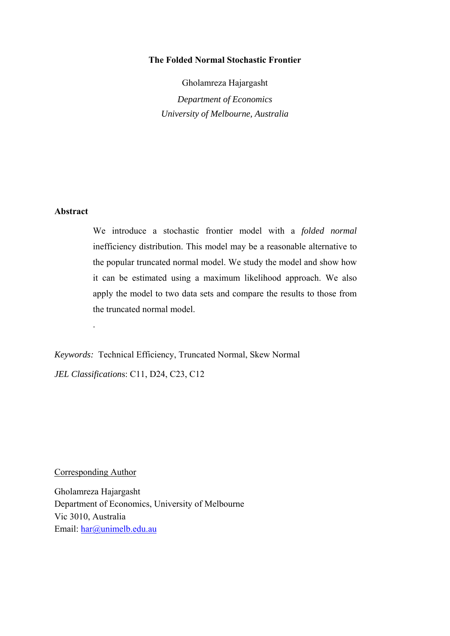# **The Folded Normal Stochastic Frontier**

Gholamreza Hajargasht *Department of Economics University of Melbourne, Australia* 

# **Abstract**

We introduce a stochastic frontier model with a *folded normal* inefficiency distribution. This model may be a reasonable alternative to the popular truncated normal model. We study the model and show how it can be estimated using a maximum likelihood approach. We also apply the model to two data sets and compare the results to those from the truncated normal model.

*Keywords:* Technical Efficiency, Truncated Normal, Skew Normal *JEL Classification*s: C11, D24, C23, C12

Corresponding Author

.

Gholamreza Hajargasht Department of Economics, University of Melbourne Vic 3010, Australia Email: har@unimelb.edu.au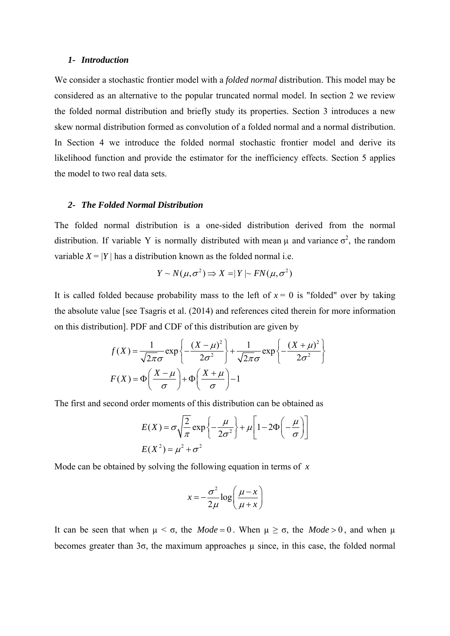### *1- Introduction*

We consider a stochastic frontier model with a *folded normal* distribution. This model may be considered as an alternative to the popular truncated normal model. In section 2 we review the folded normal distribution and briefly study its properties. Section 3 introduces a new skew normal distribution formed as convolution of a folded normal and a normal distribution. In Section 4 we introduce the folded normal stochastic frontier model and derive its likelihood function and provide the estimator for the inefficiency effects. Section 5 applies the model to two real data sets.

## *2- The Folded Normal Distribution*

The folded normal distribution is a one-sided distribution derived from the normal distribution. If variable Y is normally distributed with mean  $\mu$  and variance  $\sigma^2$ , the random variable  $X = |Y|$  has a distribution known as the folded normal i.e.

$$
Y \sim N(\mu, \sigma^2) \Rightarrow X = |Y| \sim FN(\mu, \sigma^2)
$$

It is called folded because probability mass to the left of  $x = 0$  is "folded" over by taking the absolute value [see Tsagris et al. (2014) and references cited therein for more information on this distribution]. PDF and CDF of this distribution are given by

$$
f(X) = \frac{1}{\sqrt{2\pi}\sigma} \exp\left\{-\frac{(X-\mu)^2}{2\sigma^2}\right\} + \frac{1}{\sqrt{2\pi}\sigma} \exp\left\{-\frac{(X+\mu)^2}{2\sigma^2}\right\}
$$

$$
F(X) = \Phi\left(\frac{X-\mu}{\sigma}\right) + \Phi\left(\frac{X+\mu}{\sigma}\right) - 1
$$

The first and second order moments of this distribution can be obtained as

$$
E(X) = \sigma \sqrt{\frac{2}{\pi}} \exp \left\{-\frac{\mu}{2\sigma^2}\right\} + \mu \left[1 - 2\Phi\left(-\frac{\mu}{\sigma}\right)\right]
$$

$$
E(X^2) = \mu^2 + \sigma^2
$$

Mode can be obtained by solving the following equation in terms of *x*

$$
x = -\frac{\sigma^2}{2\mu} \log \left( \frac{\mu - x}{\mu + x} \right)
$$

It can be seen that when  $\mu < \sigma$ , the *Mode* = 0. When  $\mu \ge \sigma$ , the *Mode* > 0, and when  $\mu$ becomes greater than  $3\sigma$ , the maximum approaches  $\mu$  since, in this case, the folded normal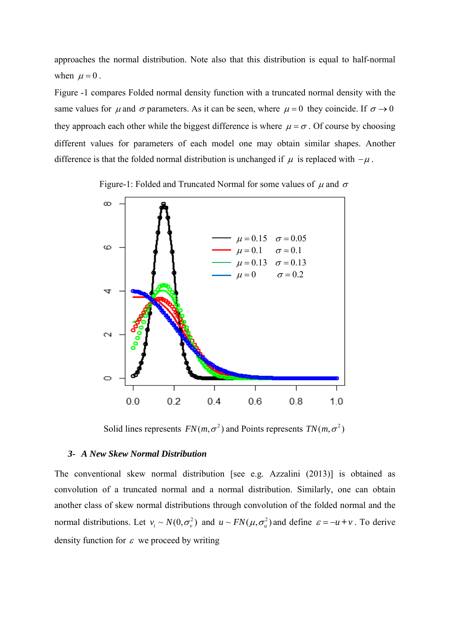approaches the normal distribution. Note also that this distribution is equal to half-normal when  $\mu = 0$ .

Figure -1 compares Folded normal density function with a truncated normal density with the same values for  $\mu$  and  $\sigma$  parameters. As it can be seen, where  $\mu = 0$  they coincide. If  $\sigma \rightarrow 0$ they approach each other while the biggest difference is where  $\mu = \sigma$ . Of course by choosing different values for parameters of each model one may obtain similar shapes. Another difference is that the folded normal distribution is unchanged if  $\mu$  is replaced with  $-\mu$ .





Solid lines represents  $FN(m, \sigma^2)$  and Points represents  $TN(m, \sigma^2)$ 

# *3- A New Skew Normal Distribution*

The conventional skew normal distribution [see e.g. Azzalini (2013)] is obtained as convolution of a truncated normal and a normal distribution. Similarly, one can obtain another class of skew normal distributions through convolution of the folded normal and the normal distributions. Let  $v_i \sim N(0, \sigma_v^2)$  and  $u \sim FN(\mu, \sigma_u^2)$  and define  $\varepsilon = -u + v$ . To derive density function for  $\varepsilon$  we proceed by writing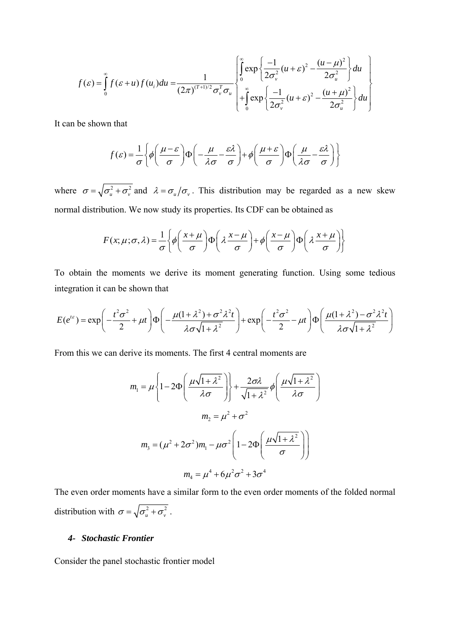$$
f(\varepsilon) = \int_{0}^{\infty} f(\varepsilon + u) f(u_{i}) du = \frac{1}{(2\pi)^{(T+1)/2} \sigma_{v}^{T} \sigma_{u}} \begin{bmatrix} \int_{0}^{\infty} \exp \left\{ \frac{-1}{2\sigma_{v}^{2}} (u + \varepsilon)^{2} - \frac{(u - \mu)^{2}}{2\sigma_{u}^{2}} \right\} du \\ + \int_{0}^{\infty} \exp \left\{ \frac{-1}{2\sigma_{v}^{2}} (u + \varepsilon)^{2} - \frac{(u + \mu)^{2}}{2\sigma_{u}^{2}} \right\} du \end{bmatrix}
$$

It can be shown that

$$
f(\varepsilon) = \frac{1}{\sigma} \left\{ \phi \left( \frac{\mu - \varepsilon}{\sigma} \right) \Phi \left( -\frac{\mu}{\lambda \sigma} - \frac{\varepsilon \lambda}{\sigma} \right) + \phi \left( \frac{\mu + \varepsilon}{\sigma} \right) \Phi \left( \frac{\mu}{\lambda \sigma} - \frac{\varepsilon \lambda}{\sigma} \right) \right\}
$$

where  $\sigma = \sqrt{\sigma_u^2 + \sigma_v^2}$  and  $\lambda = \sigma_u/\sigma_v$ . This distribution may be regarded as a new skew normal distribution. We now study its properties. Its CDF can be obtained as

$$
F(x; \mu; \sigma, \lambda) = \frac{1}{\sigma} \left\{ \phi \left( \frac{x + \mu}{\sigma} \right) \Phi \left( \lambda \frac{x - \mu}{\sigma} \right) + \phi \left( \frac{x - \mu}{\sigma} \right) \Phi \left( \lambda \frac{x + \mu}{\sigma} \right) \right\}
$$

To obtain the moments we derive its moment generating function. Using some tedious integration it can be shown that

$$
E(e^{i\epsilon}) = \exp\left(-\frac{t^2\sigma^2}{2} + \mu t\right)\Phi\left(-\frac{\mu(1+\lambda^2) + \sigma^2\lambda^2t}{\lambda\sigma\sqrt{1+\lambda^2}}\right) + \exp\left(-\frac{t^2\sigma^2}{2} - \mu t\right)\Phi\left(\frac{\mu(1+\lambda^2) - \sigma^2\lambda^2t}{\lambda\sigma\sqrt{1+\lambda^2}}\right)
$$

From this we can derive its moments. The first 4 central moments are

$$
m_1 = \mu \left\{ 1 - 2\Phi \left( \frac{\mu \sqrt{1 + \lambda^2}}{\lambda \sigma} \right) \right\} + \frac{2\sigma \lambda}{\sqrt{1 + \lambda^2}} \phi \left( \frac{\mu \sqrt{1 + \lambda^2}}{\lambda \sigma} \right)
$$

$$
m_2 = \mu^2 + \sigma^2
$$

$$
m_3 = (\mu^2 + 2\sigma^2)m_1 - \mu \sigma^2 \left( 1 - 2\Phi \left( \frac{\mu \sqrt{1 + \lambda^2}}{\sigma} \right) \right)
$$

$$
m_4 = \mu^4 + 6\mu^2 \sigma^2 + 3\sigma^4
$$

The even order moments have a similar form to the even order moments of the folded normal distribution with  $\sigma = \sqrt{\sigma_u^2 + \sigma_v^2}$ .

## *4- Stochastic Frontier*

Consider the panel stochastic frontier model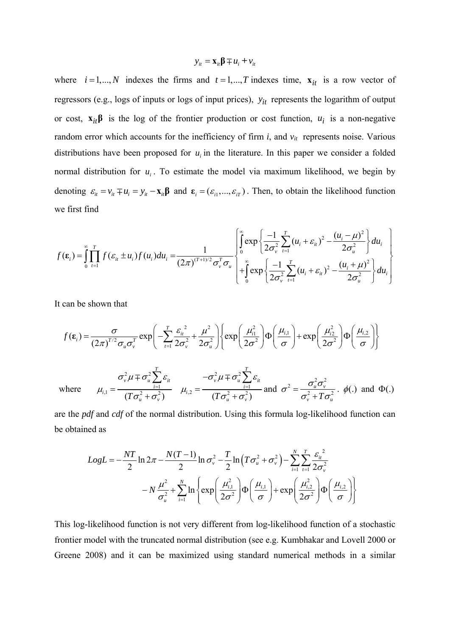$$
y_{it} = \mathbf{x}_{it} \mathbf{\beta} \mp u_i + v_{it}
$$

where  $i = 1,..., N$  indexes the firms and  $t = 1,..., T$  indexes time,  $\mathbf{x}_{it}$  is a row vector of regressors (e.g., logs of inputs or logs of input prices),  $y_{it}$  represents the logarithm of output or cost,  $\mathbf{x}_{it}$  $\boldsymbol{\beta}$  is the log of the frontier production or cost function,  $u_i$  is a non-negative random error which accounts for the inefficiency of firm  $i$ , and  $v_{it}$  represents noise. Various distributions have been proposed for  $u_i$  in the literature. In this paper we consider a folded normal distribution for  $u_i$ . To estimate the model via maximum likelihood, we begin by denoting  $\varepsilon_{it} = v_{it} \mp u_i = y_{it} - x_{it} \beta$  and  $\varepsilon_i = (\varepsilon_{i1},...,\varepsilon_{iT})$ . Then, to obtain the likelihood function we first find

$$
f(\varepsilon_i) = \int_{0}^{\infty} \prod_{i=1}^{T} f(\varepsilon_{ii} \pm u_i) f(u_i) du_i = \frac{1}{(2\pi)^{(T+1)/2} \sigma_v^T \sigma_u} \begin{bmatrix} \int_{0}^{\infty} \exp \left\{ \frac{-1}{2\sigma_v^2} \sum_{i=1}^{T} (u_i + \varepsilon_{ii})^2 - \frac{(u_i - \mu)^2}{2\sigma_u^2} \right\} du_i \\ + \int_{0}^{\infty} \exp \left\{ \frac{-1}{2\sigma_v^2} \sum_{i=1}^{T} (u_i + \varepsilon_{ii})^2 - \frac{(u_i + \mu)^2}{2\sigma_u^2} \right\} du_i \end{bmatrix}
$$

It can be shown that

$$
f(\varepsilon_i) = \frac{\sigma}{(2\pi)^{T/2} \sigma_u \sigma_v^T} \exp\left(-\sum_{t=1}^T \frac{\varepsilon_{it}^2}{2\sigma_v^2} + \frac{\mu^2}{2\sigma_u^2}\right) \left\{ \exp\left(\frac{\mu_{i1}^2}{2\sigma^2}\right) \Phi\left(\frac{\mu_{i1}}{\sigma}\right) + \exp\left(\frac{\mu_{i2}^2}{2\sigma^2}\right) \Phi\left(\frac{\mu_{i2}}{\sigma}\right) \right\}
$$
  
where  $\mu_{i,1} = \frac{\sigma_v^2 \mu \mp \sigma_u^2 \sum_{i=1}^T \varepsilon_{it}}{(T\sigma_u^2 + \sigma_v^2)} \mu_{i,2} = \frac{-\sigma_v^2 \mu \mp \sigma_u^2 \sum_{i=1}^T \varepsilon_{it}}{(T\sigma_u^2 + \sigma_v^2)} \text{ and } \sigma^2 = \frac{\sigma_u^2 \sigma_v^2}{\sigma_v^2 + T\sigma_u^2} \cdot \phi(.) \text{ and } \Phi(.)$ 

are the *pdf* and *cdf* of the normal distribution. Using this formula log-likelihood function can be obtained as

$$
LogL = -\frac{NT}{2} \ln 2\pi - \frac{N(T-1)}{2} \ln \sigma_v^2 - \frac{T}{2} \ln (T\sigma_u^2 + \sigma_v^2) - \sum_{i=1}^N \sum_{t=1}^T \frac{\varepsilon_{it}^2}{2\sigma_v^2} - N\frac{\mu^2}{\sigma_u^2} + \sum_{i=1}^N \ln \left\{ \exp\left(\frac{\mu_{i,1}^2}{2\sigma^2}\right) \Phi\left(\frac{\mu_{i,1}}{\sigma}\right) + \exp\left(\frac{\mu_{i,2}^2}{2\sigma^2}\right) \Phi\left(\frac{\mu_{i,2}}{\sigma}\right) \right\}
$$

This log-likelihood function is not very different from log-likelihood function of a stochastic frontier model with the truncated normal distribution (see e.g. Kumbhakar and Lovell 2000 or Greene 2008) and it can be maximized using standard numerical methods in a similar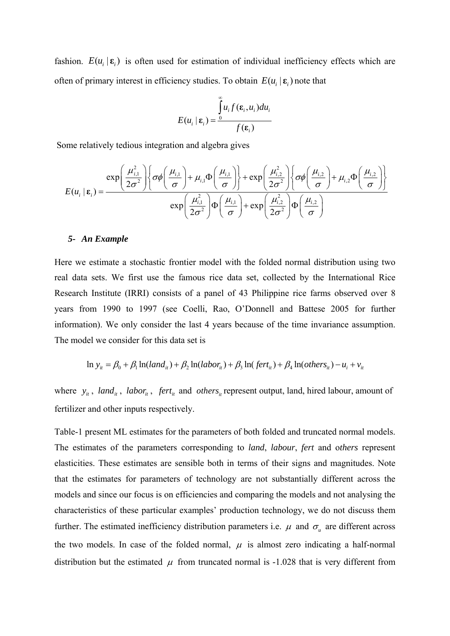fashion.  $E(u_i | \mathbf{\varepsilon}_i)$  is often used for estimation of individual inefficiency effects which are often of primary interest in efficiency studies. To obtain  $E(u_i | \mathbf{\varepsilon}_i)$  note that

$$
E(u_i \mid \varepsilon_i) = \frac{\int\limits_0^\infty u_i f(\varepsilon_i, u_i) du_i}{f(\varepsilon_i)}
$$

Some relatively tedious integration and algebra gives

$$
E(u_i \mid \varepsilon_i) = \frac{\exp\left(\frac{\mu_{i,1}^2}{2\sigma^2}\right) \left\{\sigma\phi\left(\frac{\mu_{i,1}}{\sigma}\right) + \mu_{i,1}\Phi\left(\frac{\mu_{i,1}}{\sigma}\right)\right\} + \exp\left(\frac{\mu_{i,2}^2}{2\sigma^2}\right) \left\{\sigma\phi\left(\frac{\mu_{i,2}}{\sigma}\right) + \mu_{i,2}\Phi\left(\frac{\mu_{i,2}}{\sigma}\right)\right\}}{\exp\left(\frac{\mu_{i,1}^2}{2\sigma^2}\right) \Phi\left(\frac{\mu_{i,1}}{\sigma}\right) + \exp\left(\frac{\mu_{i,2}^2}{2\sigma^2}\right) \Phi\left(\frac{\mu_{i,2}}{\sigma}\right)}
$$

### *5- An Example*

Here we estimate a stochastic frontier model with the folded normal distribution using two real data sets. We first use the famous rice data set, collected by the International Rice Research Institute (IRRI) consists of a panel of 43 Philippine rice farms observed over 8 years from 1990 to 1997 (see Coelli, Rao, O'Donnell and Battese 2005 for further information). We only consider the last 4 years because of the time invariance assumption. The model we consider for this data set is

$$
\ln y_{it} = \beta_0 + \beta_1 \ln(land_{it}) + \beta_2 \ln(labor_{it}) + \beta_3 \ln(fert_{it}) + \beta_4 \ln(others_{it}) - u_i + v_{it}
$$

where  $y_i$ , land<sub>*it*</sub>, labor<sub>*it*</sub>, fert<sub>*it*</sub> and others<sub>*it*</sub> represent output, land, hired labour, amount of fertilizer and other inputs respectively.

Table-1 present ML estimates for the parameters of both folded and truncated normal models. The estimates of the parameters corresponding to *land*, *labour*, *fert* and o*thers* represent elasticities. These estimates are sensible both in terms of their signs and magnitudes. Note that the estimates for parameters of technology are not substantially different across the models and since our focus is on efficiencies and comparing the models and not analysing the characteristics of these particular examples' production technology, we do not discuss them further. The estimated inefficiency distribution parameters i.e.  $\mu$  and  $\sigma_{\mu}$  are different across the two models. In case of the folded normal,  $\mu$  is almost zero indicating a half-normal distribution but the estimated  $\mu$  from truncated normal is -1.028 that is very different from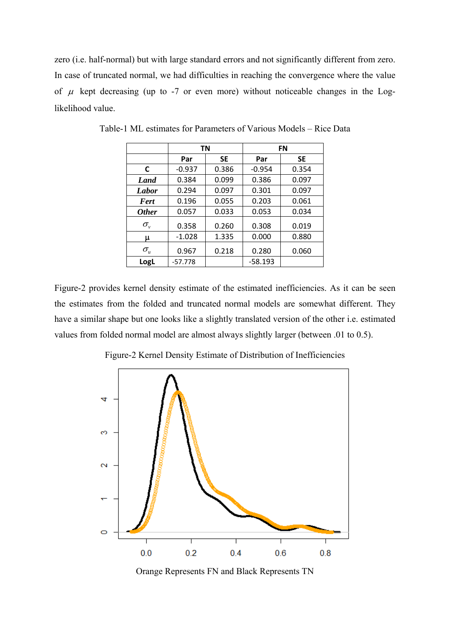zero (i.e. half-normal) but with large standard errors and not significantly different from zero. In case of truncated normal, we had difficulties in reaching the convergence where the value of  $\mu$  kept decreasing (up to -7 or even more) without noticeable changes in the Loglikelihood value.

|                     | ΤN        |           | FN        |           |
|---------------------|-----------|-----------|-----------|-----------|
|                     | Par       | <b>SE</b> | Par       | <b>SE</b> |
| C                   | $-0.937$  | 0.386     | $-0.954$  | 0.354     |
| Land                | 0.384     | 0.099     | 0.386     | 0.097     |
| Labor               | 0.294     | 0.097     | 0.301     | 0.097     |
| <b>Fert</b>         | 0.196     | 0.055     | 0.203     | 0.061     |
| <i><b>Other</b></i> | 0.057     | 0.033     | 0.053     | 0.034     |
| $\sigma_{\nu}$      | 0.358     | 0.260     | 0.308     | 0.019     |
| μ                   | $-1.028$  | 1.335     | 0.000     | 0.880     |
| $\sigma_{\rm u}$    | 0.967     | 0.218     | 0.280     | 0.060     |
| LogL                | $-57.778$ |           | $-58.193$ |           |

Table-1 ML estimates for Parameters of Various Models – Rice Data

Figure-2 provides kernel density estimate of the estimated inefficiencies. As it can be seen the estimates from the folded and truncated normal models are somewhat different. They have a similar shape but one looks like a slightly translated version of the other i.e. estimated values from folded normal model are almost always slightly larger (between .01 to 0.5).



Figure-2 Kernel Density Estimate of Distribution of Inefficiencies

Orange Represents FN and Black Represents TN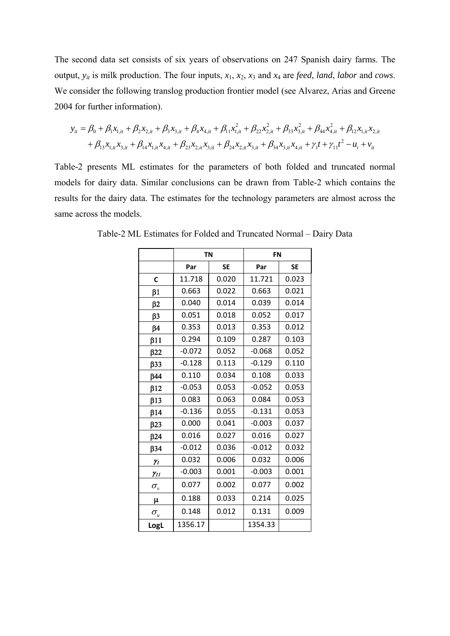The second data set consists of six years of observations on 247 Spanish dairy farms. The output, *yit* is milk production. The four inputs, *x*1, *x*2, *x*3 and *x*4 are *feed*, *land*, *labor* and *cows*. We consider the following translog production frontier model (see Alvarez, Arias and Greene 2004 for further information).

$$
y_{it} = \beta_0 + \beta_1 x_{1,it} + \beta_2 x_{2,it} + \beta_3 x_{3,it} + \beta_4 x_{4,it} + \beta_{11} x_{1,it}^2 + \beta_{22} x_{2,it}^2 + \beta_{33} x_{3,it}^2 + \beta_{44} x_{4,it}^2 + \beta_{12} x_{1,it} x_{2,it}
$$
  
+  $\beta_{13} x_{1,it} x_{3,it} + \beta_{14} x_{1,it} x_{4,it} + \beta_{23} x_{2,it} x_{3,it} + \beta_{24} x_{2,it} x_{3,it} + \beta_{34} x_{3,it} x_{4,it} + \gamma_1 t + \gamma_{11} t^2 - u_i + \gamma_{it}$ 

Table-2 presents ML estimates for the parameters of both folded and truncated normal models for dairy data. Similar conclusions can be drawn from Table-2 which contains the results for the dairy data. The estimates for the technology parameters are almost across the same across the models.

|                  | <b>TN</b> |           | <b>FN</b> |           |
|------------------|-----------|-----------|-----------|-----------|
|                  | Par       | <b>SE</b> | Par       | <b>SE</b> |
| C                | 11.718    | 0.020     | 11.721    | 0.023     |
| $\beta$ 1        | 0.663     | 0.022     | 0.663     | 0.021     |
| $\beta$ 2        | 0.040     | 0.014     | 0.039     | 0.014     |
| $\beta$ 3        | 0.051     | 0.018     | 0.052     | 0.017     |
| $\beta$ 4        | 0.353     | 0.013     | 0.353     | 0.012     |
| $\beta$ 11       | 0.294     | 0.109     | 0.287     | 0.103     |
| $\beta$ 22       | $-0.072$  | 0.052     | $-0.068$  | 0.052     |
| $\beta$ 33       | $-0.128$  | 0.113     | $-0.129$  | 0.110     |
| $\beta$ 44       | 0.110     | 0.034     | 0.108     | 0.033     |
| $\beta$ 12       | $-0.053$  | 0.053     | $-0.052$  | 0.053     |
| $\beta$ 13       | 0.083     | 0.063     | 0.084     | 0.053     |
| $\beta$ 14       | $-0.136$  | 0.055     | $-0.131$  | 0.053     |
| B23              | 0.000     | 0.041     | $-0.003$  | 0.037     |
| $\beta$ 24       | 0.016     | 0.027     | 0.016     | 0.027     |
| $\beta$ 34       | $-0.012$  | 0.036     | $-0.012$  | 0.032     |
| $\gamma_I$       | 0.032     | 0.006     | 0.032     | 0.006     |
| $\gamma_{II}$    | $-0.003$  | 0.001     | $-0.003$  | 0.001     |
| $\sigma_{\nu}$   | 0.077     | 0.002     | 0.077     | 0.002     |
| μ                | 0.188     | 0.033     | 0.214     | 0.025     |
| $\sigma_{\rm u}$ | 0.148     | 0.012     | 0.131     | 0.009     |
| LogL             | 1356.17   |           | 1354.33   |           |

Table-2 ML Estimates for Folded and Truncated Normal – Dairy Data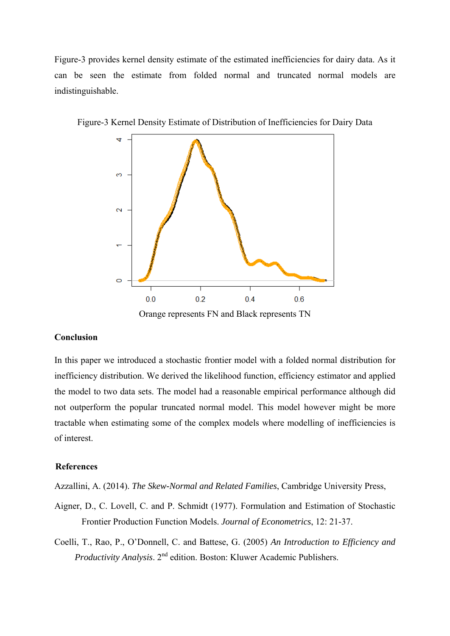Figure-3 provides kernel density estimate of the estimated inefficiencies for dairy data. As it can be seen the estimate from folded normal and truncated normal models are indistinguishable.



Figure-3 Kernel Density Estimate of Distribution of Inefficiencies for Dairy Data

#### **Conclusion**

In this paper we introduced a stochastic frontier model with a folded normal distribution for inefficiency distribution. We derived the likelihood function, efficiency estimator and applied the model to two data sets. The model had a reasonable empirical performance although did not outperform the popular truncated normal model. This model however might be more tractable when estimating some of the complex models where modelling of inefficiencies is of interest.

## **References**

Azzallini, A. (2014). *The Skew-Normal and Related Families*, Cambridge University Press,

- Aigner, D., C. Lovell, C. and P. Schmidt (1977). Formulation and Estimation of Stochastic Frontier Production Function Models. *Journal of Econometrics*, 12: 21-37.
- Coelli, T., Rao, P., O'Donnell, C. and Battese, G. (2005) *An Introduction to Efficiency and Productivity Analysis*. 2<sup>nd</sup> edition. Boston: Kluwer Academic Publishers.